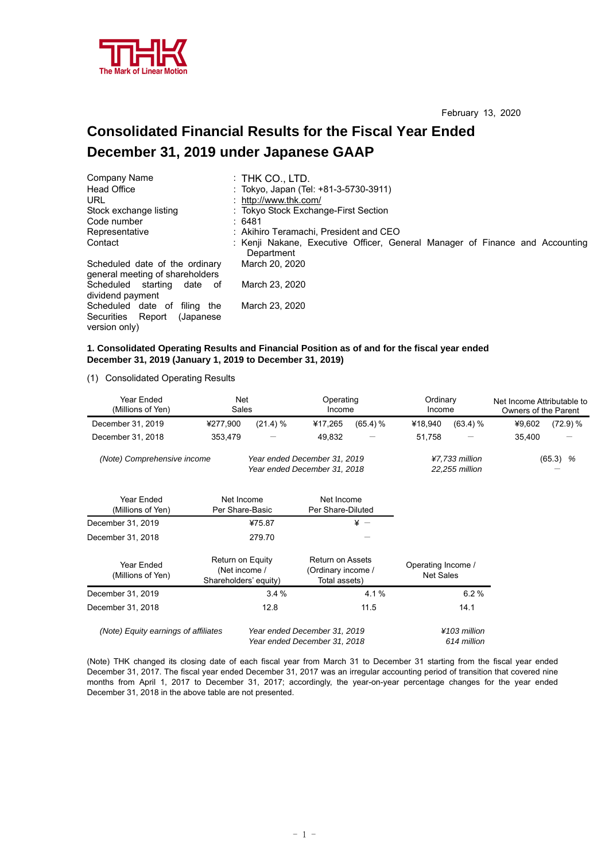

## **Consolidated Financial Results for the Fiscal Year Ended December 31, 2019 under Japanese GAAP**

| Company Name                                                      | $:$ Thk Co., LTD.                                                                          |
|-------------------------------------------------------------------|--------------------------------------------------------------------------------------------|
| <b>Head Office</b>                                                | : Tokyo, Japan (Tel: +81-3-5730-3911)                                                      |
| URL                                                               | : http://www.thk.com/                                                                      |
| Stock exchange listing                                            | : Tokyo Stock Exchange-First Section                                                       |
| Code number                                                       | : 6481                                                                                     |
| Representative                                                    | : Akihiro Teramachi, President and CEO                                                     |
| Contact                                                           | : Kenji Nakane, Executive Officer, General Manager of Finance and Accounting<br>Department |
| Scheduled date of the ordinary<br>general meeting of shareholders | March 20, 2020                                                                             |
| Scheduled starting<br>date of<br>dividend payment                 | March 23, 2020                                                                             |
| Scheduled date of filing the                                      | March 23, 2020                                                                             |
| Securities Report<br>(Japanese)                                   |                                                                                            |
| version only)                                                     |                                                                                            |

## **1. Consolidated Operating Results and Financial Position as of and for the fiscal year ended December 31, 2019 (January 1, 2019 to December 31, 2019)**

(1) Consolidated Operating Results

| Year Ended<br>(Millions of Yen)      | Net<br>Sales                                                 |          | Operating<br>Income                                            |                                  | Ordinary<br>Income              |              | Net Income Attributable to<br>Owners of the Parent |          |
|--------------------------------------|--------------------------------------------------------------|----------|----------------------------------------------------------------|----------------------------------|---------------------------------|--------------|----------------------------------------------------|----------|
| December 31, 2019                    | ¥277,900                                                     | (21.4) % | ¥17,265                                                        | $(65.4)$ %                       | ¥18,940                         | (63.4) %     | ¥9,602                                             | (72.9) % |
| December 31, 2018                    | 353,479                                                      |          | 49,832                                                         |                                  | 51,758                          |              | 35,400                                             |          |
| (Note) Comprehensive income          | Year ended December 31, 2019<br>Year ended December 31, 2018 |          |                                                                | ¥7,733 million<br>22,255 million |                                 | (65.3)<br>%  |                                                    |          |
| Year Ended<br>(Millions of Yen)      | Net Income<br>Per Share-Basic                                |          | Net Income<br>Per Share-Diluted                                |                                  |                                 |              |                                                    |          |
| December 31, 2019                    |                                                              | ¥75.87   |                                                                | $\frac{1}{2}$ -                  |                                 |              |                                                    |          |
| December 31, 2018                    |                                                              | 279.70   |                                                                |                                  |                                 |              |                                                    |          |
| Year Ended<br>(Millions of Yen)      | Return on Equity<br>(Net income /<br>Shareholders' equity)   |          | <b>Return on Assets</b><br>(Ordinary income /<br>Total assets) |                                  | Operating Income /<br>Net Sales |              |                                                    |          |
| December 31, 2019                    |                                                              | 3.4%     |                                                                | 4.1%                             |                                 | 6.2%         |                                                    |          |
| December 31, 2018                    |                                                              | 12.8     |                                                                | 11.5                             |                                 | 14.1         |                                                    |          |
| (Note) Equity earnings of affiliates |                                                              |          | Year ended December 31, 2019                                   |                                  |                                 | ¥103 million |                                                    |          |

(Note) THK changed its closing date of each fiscal year from March 31 to December 31 starting from the fiscal year ended December 31, 2017. The fiscal year ended December 31, 2017 was an irregular accounting period of transition that covered nine months from April 1, 2017 to December 31, 2017; accordingly, the year-on-year percentage changes for the year ended December 31, 2018 in the above table are not presented.

 *Year ended December 31, 2018 614 million*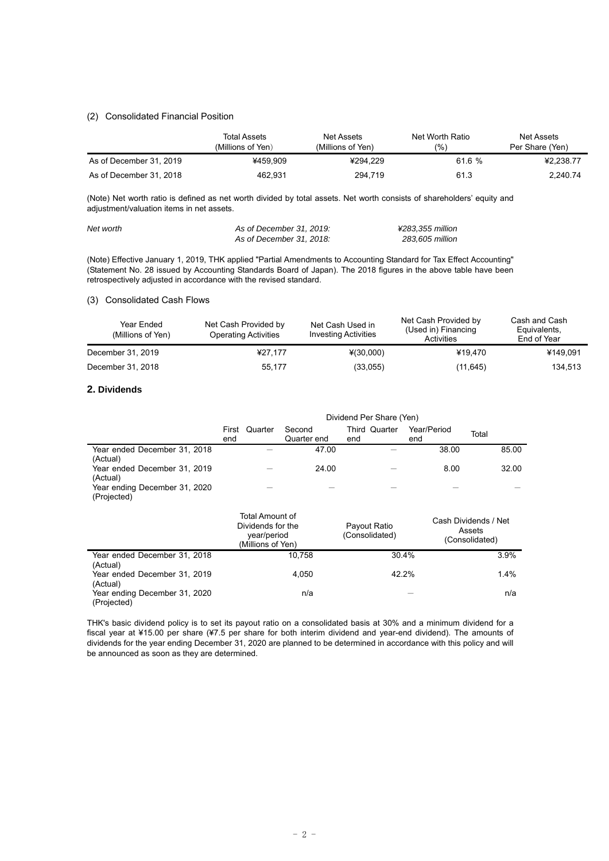## (2) Consolidated Financial Position

|                         | Total Assets<br>(Millions of Yen) | Net Assets<br>(Millions of Yen) | Net Worth Ratio<br>$(%^{n})$ | Net Assets<br>Per Share (Yen) |
|-------------------------|-----------------------------------|---------------------------------|------------------------------|-------------------------------|
| As of December 31, 2019 | ¥459.909                          | ¥294.229                        | 61.6%                        | ¥2.238.77                     |
| As of December 31, 2018 | 462.931                           | 294.719                         | 61.3                         | 2.240.74                      |

(Note) Net worth ratio is defined as net worth divided by total assets. Net worth consists of shareholders' equity and adjustment/valuation items in net assets.

| Net worth | As of December 31, 2019: | ¥283.355 million |
|-----------|--------------------------|------------------|
|           | As of December 31, 2018: | 283.605 million  |

(Note) Effective January 1, 2019, THK applied "Partial Amendments to Accounting Standard for Tax Effect Accounting" (Statement No. 28 issued by Accounting Standards Board of Japan). The 2018 figures in the above table have been retrospectively adjusted in accordance with the revised standard.

#### (3) Consolidated Cash Flows

| Year Ended<br>(Millions of Yen) | Net Cash Provided by<br><b>Operating Activities</b> | Net Cash Used in<br><b>Investing Activities</b> | Net Cash Provided by<br>(Used in) Financing<br>Activities | Cash and Cash<br>Equivalents,<br>End of Year |
|---------------------------------|-----------------------------------------------------|-------------------------------------------------|-----------------------------------------------------------|----------------------------------------------|
| December 31, 2019               | ¥27.177                                             | $*(30,000)$                                     | ¥19.470                                                   | ¥149.091                                     |
| December 31, 2018               | 55,177                                              | (33,055)                                        | (11, 645)                                                 | 134.513                                      |

## **2. Dividends**

|                                              | Dividend Per Share (Yen)                                                 |                       |                                |                    |                                                  |
|----------------------------------------------|--------------------------------------------------------------------------|-----------------------|--------------------------------|--------------------|--------------------------------------------------|
|                                              | Quarter<br>First<br>end                                                  | Second<br>Quarter end | Third Quarter<br>end           | Year/Period<br>end | Total                                            |
| Year ended December 31, 2018<br>(Actual)     |                                                                          | 47.00                 |                                | 38.00              | 85.00                                            |
| Year ended December 31, 2019<br>(Actual)     |                                                                          | 24.00                 |                                | 8.00               | 32.00                                            |
| Year ending December 31, 2020<br>(Projected) |                                                                          |                       |                                |                    |                                                  |
|                                              | Total Amount of<br>Dividends for the<br>year/period<br>(Millions of Yen) |                       | Payout Ratio<br>(Consolidated) |                    | Cash Dividends / Net<br>Assets<br>(Consolidated) |
| Year ended December 31, 2018<br>(Actual)     |                                                                          | 10,758                |                                | 30.4%              | 3.9%                                             |
| Year ended December 31, 2019<br>(Actual)     |                                                                          | 4,050                 |                                | 42.2%              | 1.4%                                             |
| Year ending December 31, 2020<br>(Projected) |                                                                          | n/a                   |                                |                    | n/a                                              |

THK's basic dividend policy is to set its payout ratio on a consolidated basis at 30% and a minimum dividend for a fiscal year at ¥15.00 per share (¥7.5 per share for both interim dividend and year-end dividend). The amounts of dividends for the year ending December 31, 2020 are planned to be determined in accordance with this policy and will be announced as soon as they are determined.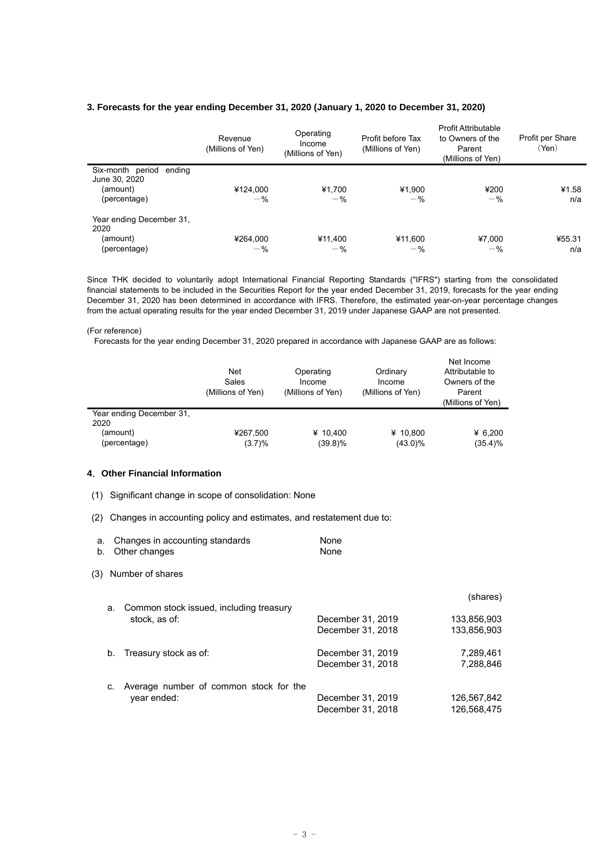## **3. Forecasts for the year ending December 31, 2020 (January 1, 2020 to December 31, 2020)**

|                                                                         | Revenue<br>(Millions of Yen) | Operating<br>Income<br>(Millions of Yen) | Profit before Tax<br>(Millions of Yen) | Profit Attributable<br>to Owners of the<br>Parent<br>(Millions of Yen) | Profit per Share<br>(Yen) |
|-------------------------------------------------------------------------|------------------------------|------------------------------------------|----------------------------------------|------------------------------------------------------------------------|---------------------------|
| Six-month period<br>ending<br>June 30, 2020<br>(amount)<br>(percentage) | ¥124,000<br>$-$ %            | ¥1,700<br>$-$ %                          | ¥1,900<br>$-$ %                        | ¥200<br>$-$ %                                                          | ¥1.58<br>n/a              |
| Year ending December 31,<br>2020<br>(amount)<br>(percentage)            | ¥264,000<br>$-$ %            | ¥11,400<br>$-$ %                         | ¥11,600<br>$-$ %                       | ¥7,000<br>$-$ %                                                        | ¥55.31<br>n/a             |

Since THK decided to voluntarily adopt International Financial Reporting Standards ("IFRS") starting from the consolidated financial statements to be included in the Securities Report for the year ended December 31, 2019, forecasts for the year ending December 31, 2020 has been determined in accordance with IFRS. Therefore, the estimated year-on-year percentage changes from the actual operating results for the year ended December 31, 2019 under Japanese GAAP are not presented.

#### (For reference)

Forecasts for the year ending December 31, 2020 prepared in accordance with Japanese GAAP are as follows:

|                                              | <b>Net</b><br>Sales<br>(Millions of Yen) | Operating<br>Income<br>(Millions of Yen) | Ordinary<br>Income<br>(Millions of Yen) | Net Income<br>Attributable to<br>Owners of the<br>Parent<br>(Millions of Yen) |
|----------------------------------------------|------------------------------------------|------------------------------------------|-----------------------------------------|-------------------------------------------------------------------------------|
| Year ending December 31.<br>2020<br>(amount) | ¥267,500                                 | ¥ 10.400                                 | ¥ 10.800                                | ¥ 6.200                                                                       |
| (percentage)                                 | (3.7)%                                   | (39.8)%                                  | $(43.0)\%$                              | $(35.4)\%$                                                                    |

#### **4**.**Other Financial Information**

- (1) Significant change in scope of consolidation: None
- (2) Changes in accounting policy and estimates, and restatement due to:

| a.<br>b. | Changes in accounting standards<br>Other changes      | None<br>None                           |                            |
|----------|-------------------------------------------------------|----------------------------------------|----------------------------|
| (3)      | Number of shares                                      |                                        |                            |
|          | Common stock issued, including treasury<br>а.         |                                        | (shares)                   |
|          | stock, as of:                                         | December 31, 2019                      | 133.856.903                |
|          |                                                       | December 31, 2018                      | 133,856,903                |
|          | Treasury stock as of:<br>b.                           | December 31, 2019<br>December 31, 2018 | 7,289,461<br>7,288,846     |
|          | Average number of common stock for the<br>year ended: | December 31, 2019<br>December 31, 2018 | 126,567,842<br>126.568.475 |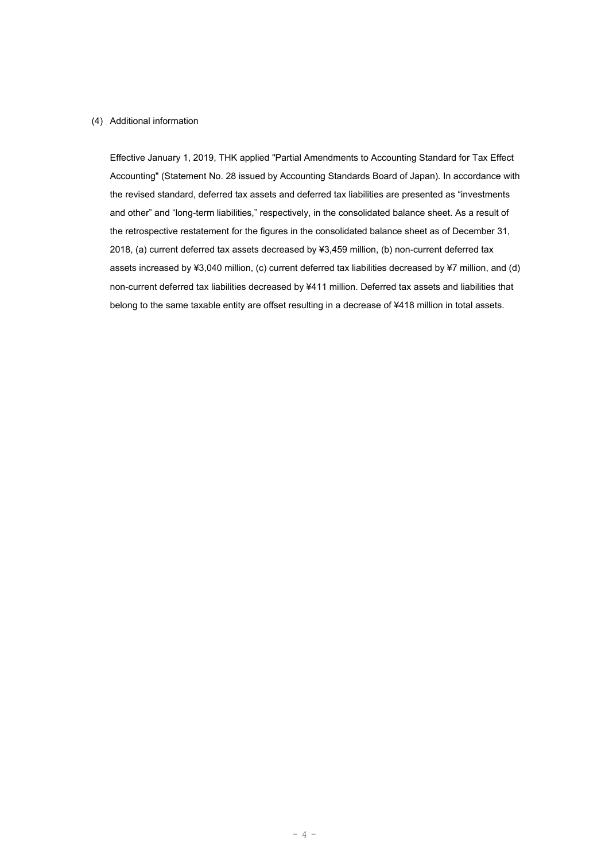### (4) Additional information

Effective January 1, 2019, THK applied "Partial Amendments to Accounting Standard for Tax Effect Accounting" (Statement No. 28 issued by Accounting Standards Board of Japan). In accordance with the revised standard, deferred tax assets and deferred tax liabilities are presented as "investments and other" and "long-term liabilities," respectively, in the consolidated balance sheet. As a result of the retrospective restatement for the figures in the consolidated balance sheet as of December 31, 2018, (a) current deferred tax assets decreased by ¥3,459 million, (b) non-current deferred tax assets increased by ¥3,040 million, (c) current deferred tax liabilities decreased by ¥7 million, and (d) non-current deferred tax liabilities decreased by ¥411 million. Deferred tax assets and liabilities that belong to the same taxable entity are offset resulting in a decrease of ¥418 million in total assets.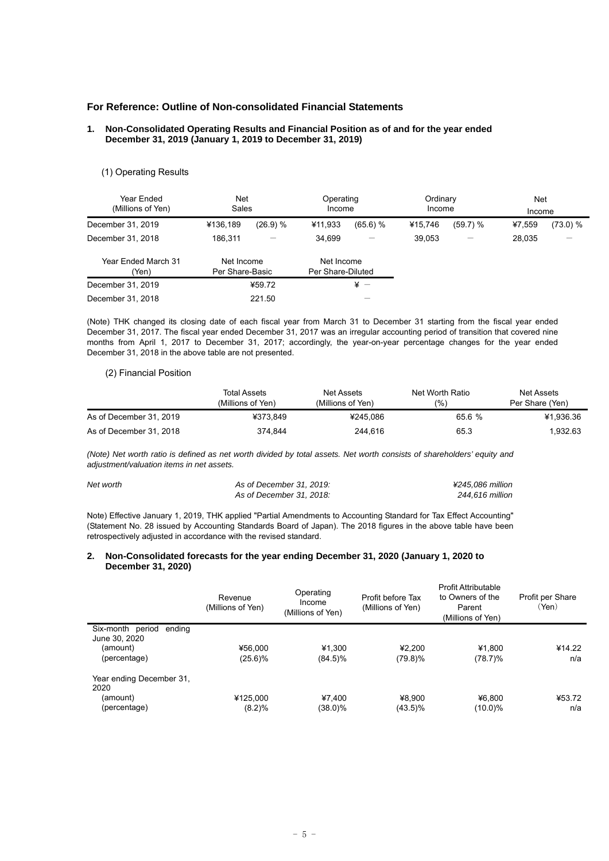## **For Reference: Outline of Non-consolidated Financial Statements**

#### **1. Non-Consolidated Operating Results and Financial Position as of and for the year ended December 31, 2019 (January 1, 2019 to December 31, 2019)**

#### (1) Operating Results

| Year Ended<br>(Millions of Yen) | <b>Net</b><br>Sales           |          | Operating<br>Income             |                          | Ordinary<br>Income |          | <b>Net</b><br>Income |          |
|---------------------------------|-------------------------------|----------|---------------------------------|--------------------------|--------------------|----------|----------------------|----------|
| December 31, 2019               | ¥136.189                      | (26.9) % | ¥11,933                         | (65.6) %                 | ¥15.746            | (59.7) % | ¥7.559               | (73.0) % |
| December 31, 2018               | 186.311                       |          | 34.699                          | $\overline{\phantom{0}}$ | 39.053             | —        | 28,035               |          |
| Year Ended March 31<br>(Yen)    | Net Income<br>Per Share-Basic |          | Net Income<br>Per Share-Diluted |                          |                    |          |                      |          |
| December 31, 2019               |                               | ¥59.72   |                                 | $\frac{1}{2}$ -          |                    |          |                      |          |
| December 31, 2018               |                               | 221.50   |                                 |                          |                    |          |                      |          |

(Note) THK changed its closing date of each fiscal year from March 31 to December 31 starting from the fiscal year ended December 31, 2017. The fiscal year ended December 31, 2017 was an irregular accounting period of transition that covered nine months from April 1, 2017 to December 31, 2017; accordingly, the year-on-year percentage changes for the year ended December 31, 2018 in the above table are not presented.

#### (2) Financial Position

|                         | Total Assets      | Net Assets         | Net Worth Ratio | Net Assets      |
|-------------------------|-------------------|--------------------|-----------------|-----------------|
|                         | (Millions of Yen) | (Millions of Yen). | (%              | Per Share (Yen) |
| As of December 31, 2019 | ¥373.849          | ¥245.086           | 65.6%           | ¥1.936.36       |
| As of December 31, 2018 | 374.844           | 244.616            | 65.3            | 1.932.63        |

*(Note) Net worth ratio is defined as net worth divided by total assets. Net worth consists of shareholders' equity and adjustment/valuation items in net assets.* 

| Net worth | As of December 31, 2019: | ¥245.086 million |
|-----------|--------------------------|------------------|
|           | As of December 31, 2018: | 244.616 million  |

Note) Effective January 1, 2019, THK applied "Partial Amendments to Accounting Standard for Tax Effect Accounting" (Statement No. 28 issued by Accounting Standards Board of Japan). The 2018 figures in the above table have been retrospectively adjusted in accordance with the revised standard.

#### **2. Non-Consolidated forecasts for the year ending December 31, 2020 (January 1, 2020 to December 31, 2020)**

|                                             | Revenue<br>(Millions of Yen) | Operating<br>Income<br>(Millions of Yen) | Profit before Tax<br>(Millions of Yen) | <b>Profit Attributable</b><br>to Owners of the<br>Parent<br>(Millions of Yen) | Profit per Share<br>(Yen) |
|---------------------------------------------|------------------------------|------------------------------------------|----------------------------------------|-------------------------------------------------------------------------------|---------------------------|
| Six-month period<br>endina<br>June 30, 2020 |                              |                                          |                                        |                                                                               |                           |
| (amount)                                    | ¥56.000                      | ¥1.300                                   | ¥2.200                                 | ¥1.800                                                                        | ¥14.22                    |
| (percentage)                                | $(25.6)\%$                   | $(84.5)\%$                               | $(79.8)\%$                             | $(78.7)\%$                                                                    | n/a                       |
| Year ending December 31,<br>2020            |                              |                                          |                                        |                                                                               |                           |
| (amount)                                    | ¥125,000                     | ¥7.400                                   | ¥8.900                                 | ¥6.800                                                                        | ¥53.72                    |
| (percentage)                                | (8.2)%                       | $(38.0)\%$                               | $(43.5)\%$                             | $(10.0)\%$                                                                    | n/a                       |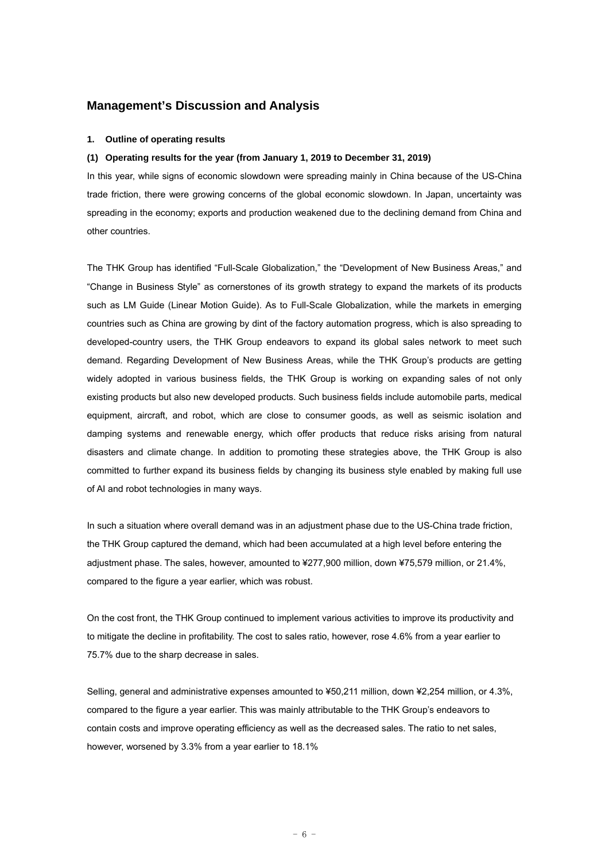## **Management's Discussion and Analysis**

### **1. Outline of operating results**

#### **(1) Operating results for the year (from January 1, 2019 to December 31, 2019)**

In this year, while signs of economic slowdown were spreading mainly in China because of the US-China trade friction, there were growing concerns of the global economic slowdown. In Japan, uncertainty was spreading in the economy; exports and production weakened due to the declining demand from China and other countries.

The THK Group has identified "Full-Scale Globalization," the "Development of New Business Areas," and "Change in Business Style" as cornerstones of its growth strategy to expand the markets of its products such as LM Guide (Linear Motion Guide). As to Full-Scale Globalization, while the markets in emerging countries such as China are growing by dint of the factory automation progress, which is also spreading to developed-country users, the THK Group endeavors to expand its global sales network to meet such demand. Regarding Development of New Business Areas, while the THK Group's products are getting widely adopted in various business fields, the THK Group is working on expanding sales of not only existing products but also new developed products. Such business fields include automobile parts, medical equipment, aircraft, and robot, which are close to consumer goods, as well as seismic isolation and damping systems and renewable energy, which offer products that reduce risks arising from natural disasters and climate change. In addition to promoting these strategies above, the THK Group is also committed to further expand its business fields by changing its business style enabled by making full use of AI and robot technologies in many ways.

In such a situation where overall demand was in an adjustment phase due to the US-China trade friction, the THK Group captured the demand, which had been accumulated at a high level before entering the adjustment phase. The sales, however, amounted to ¥277,900 million, down ¥75,579 million, or 21.4%, compared to the figure a year earlier, which was robust.

On the cost front, the THK Group continued to implement various activities to improve its productivity and to mitigate the decline in profitability. The cost to sales ratio, however, rose 4.6% from a year earlier to 75.7% due to the sharp decrease in sales.

Selling, general and administrative expenses amounted to ¥50,211 million, down ¥2,254 million, or 4.3%, compared to the figure a year earlier. This was mainly attributable to the THK Group's endeavors to contain costs and improve operating efficiency as well as the decreased sales. The ratio to net sales, however, worsened by 3.3% from a year earlier to 18.1%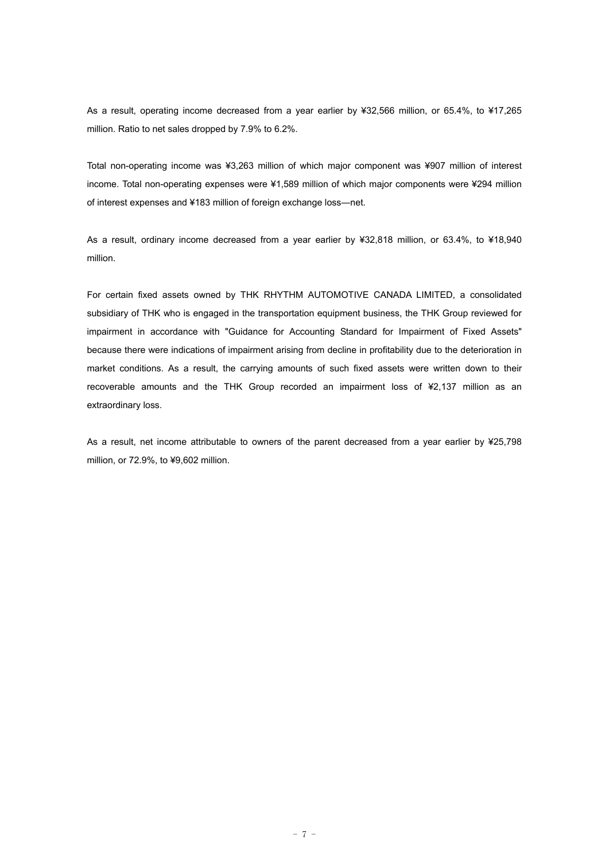As a result, operating income decreased from a year earlier by ¥32,566 million, or 65.4%, to ¥17,265 million. Ratio to net sales dropped by 7.9% to 6.2%.

Total non-operating income was ¥3,263 million of which major component was ¥907 million of interest income. Total non-operating expenses were ¥1,589 million of which major components were ¥294 million of interest expenses and ¥183 million of foreign exchange loss―net.

As a result, ordinary income decreased from a year earlier by ¥32,818 million, or 63.4%, to ¥18,940 million.

For certain fixed assets owned by THK RHYTHM AUTOMOTIVE CANADA LIMITED, a consolidated subsidiary of THK who is engaged in the transportation equipment business, the THK Group reviewed for impairment in accordance with "Guidance for Accounting Standard for Impairment of Fixed Assets" because there were indications of impairment arising from decline in profitability due to the deterioration in market conditions. As a result, the carrying amounts of such fixed assets were written down to their recoverable amounts and the THK Group recorded an impairment loss of ¥2,137 million as an extraordinary loss.

As a result, net income attributable to owners of the parent decreased from a year earlier by ¥25,798 million, or 72.9%, to ¥9,602 million.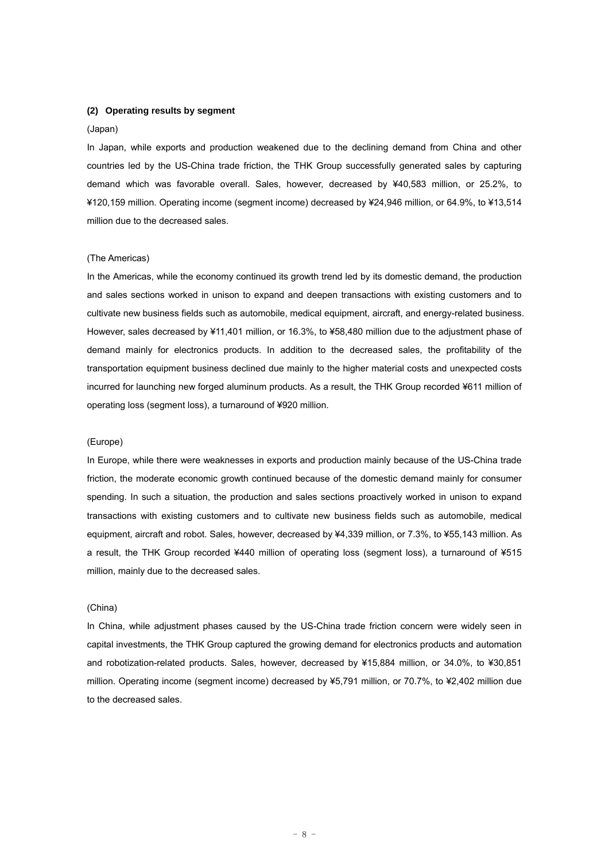#### **(2) Operating results by segment**

#### (Japan)

In Japan, while exports and production weakened due to the declining demand from China and other countries led by the US-China trade friction, the THK Group successfully generated sales by capturing demand which was favorable overall. Sales, however, decreased by ¥40,583 million, or 25.2%, to ¥120,159 million. Operating income (segment income) decreased by ¥24,946 million, or 64.9%, to ¥13,514 million due to the decreased sales.

#### (The Americas)

In the Americas, while the economy continued its growth trend led by its domestic demand, the production and sales sections worked in unison to expand and deepen transactions with existing customers and to cultivate new business fields such as automobile, medical equipment, aircraft, and energy-related business. However, sales decreased by ¥11,401 million, or 16.3%, to ¥58,480 million due to the adjustment phase of demand mainly for electronics products. In addition to the decreased sales, the profitability of the transportation equipment business declined due mainly to the higher material costs and unexpected costs incurred for launching new forged aluminum products. As a result, the THK Group recorded ¥611 million of operating loss (segment loss), a turnaround of ¥920 million.

#### (Europe)

In Europe, while there were weaknesses in exports and production mainly because of the US-China trade friction, the moderate economic growth continued because of the domestic demand mainly for consumer spending. In such a situation, the production and sales sections proactively worked in unison to expand transactions with existing customers and to cultivate new business fields such as automobile, medical equipment, aircraft and robot. Sales, however, decreased by ¥4,339 million, or 7.3%, to ¥55,143 million. As a result, the THK Group recorded ¥440 million of operating loss (segment loss), a turnaround of ¥515 million, mainly due to the decreased sales.

#### (China)

In China, while adjustment phases caused by the US-China trade friction concern were widely seen in capital investments, the THK Group captured the growing demand for electronics products and automation and robotization-related products. Sales, however, decreased by ¥15,884 million, or 34.0%, to ¥30,851 million. Operating income (segment income) decreased by ¥5,791 million, or 70.7%, to ¥2,402 million due to the decreased sales.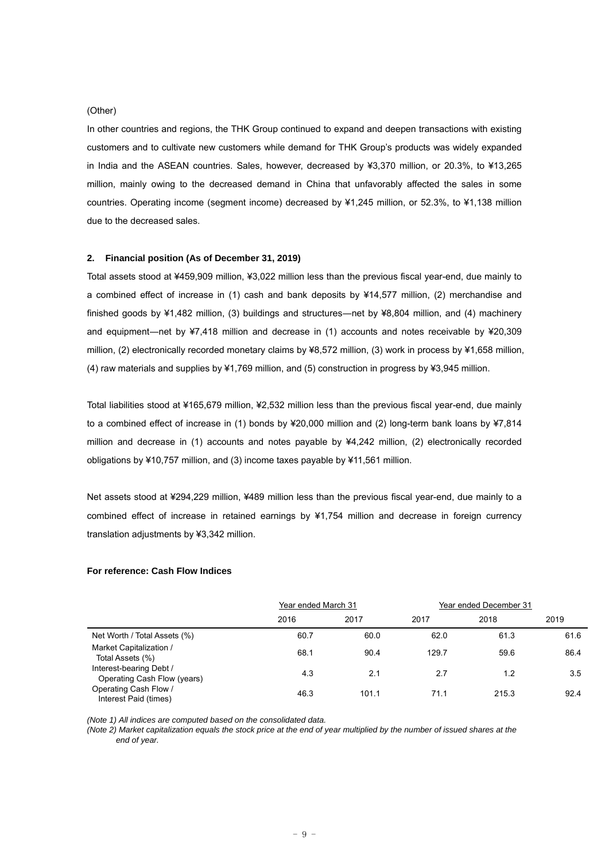#### (Other)

In other countries and regions, the THK Group continued to expand and deepen transactions with existing customers and to cultivate new customers while demand for THK Group's products was widely expanded in India and the ASEAN countries. Sales, however, decreased by ¥3,370 million, or 20.3%, to ¥13,265 million, mainly owing to the decreased demand in China that unfavorably affected the sales in some countries. Operating income (segment income) decreased by ¥1,245 million, or 52.3%, to ¥1,138 million due to the decreased sales.

#### **2. Financial position (As of December 31, 2019)**

Total assets stood at ¥459,909 million, ¥3,022 million less than the previous fiscal year-end, due mainly to a combined effect of increase in (1) cash and bank deposits by ¥14,577 million, (2) merchandise and finished goods by ¥1,482 million, (3) buildings and structures—net by ¥8,804 million, and (4) machinery and equipment―net by ¥7,418 million and decrease in (1) accounts and notes receivable by ¥20,309 million, (2) electronically recorded monetary claims by ¥8,572 million, (3) work in process by ¥1,658 million, (4) raw materials and supplies by ¥1,769 million, and (5) construction in progress by ¥3,945 million.

Total liabilities stood at ¥165,679 million, ¥2,532 million less than the previous fiscal year-end, due mainly to a combined effect of increase in (1) bonds by ¥20,000 million and (2) long-term bank loans by ¥7,814 million and decrease in (1) accounts and notes payable by ¥4,242 million, (2) electronically recorded obligations by ¥10,757 million, and (3) income taxes payable by ¥11,561 million.

Net assets stood at ¥294,229 million, ¥489 million less than the previous fiscal year-end, due mainly to a combined effect of increase in retained earnings by ¥1,754 million and decrease in foreign currency translation adjustments by ¥3,342 million.

#### **For reference: Cash Flow Indices**

|                                                        | Year ended March 31 |       | Year ended December 31 |       |      |
|--------------------------------------------------------|---------------------|-------|------------------------|-------|------|
|                                                        | 2016                | 2017  | 2017                   | 2018  | 2019 |
| Net Worth / Total Assets (%)                           | 60.7                | 60.0  | 62.0                   | 61.3  | 61.6 |
| Market Capitalization /<br>Total Assets (%)            | 68.1                | 90.4  | 129.7                  | 59.6  | 86.4 |
| Interest-bearing Debt /<br>Operating Cash Flow (years) | 4.3                 | 2.1   | 2.7                    | 1.2   | 3.5  |
| Operating Cash Flow /<br>Interest Paid (times)         | 46.3                | 101.1 | 71.1                   | 215.3 | 92.4 |

*(Note 1) All indices are computed based on the consolidated data.* 

*(Note 2) Market capitalization equals the stock price at the end of year multiplied by the number of issued shares at the end of year.*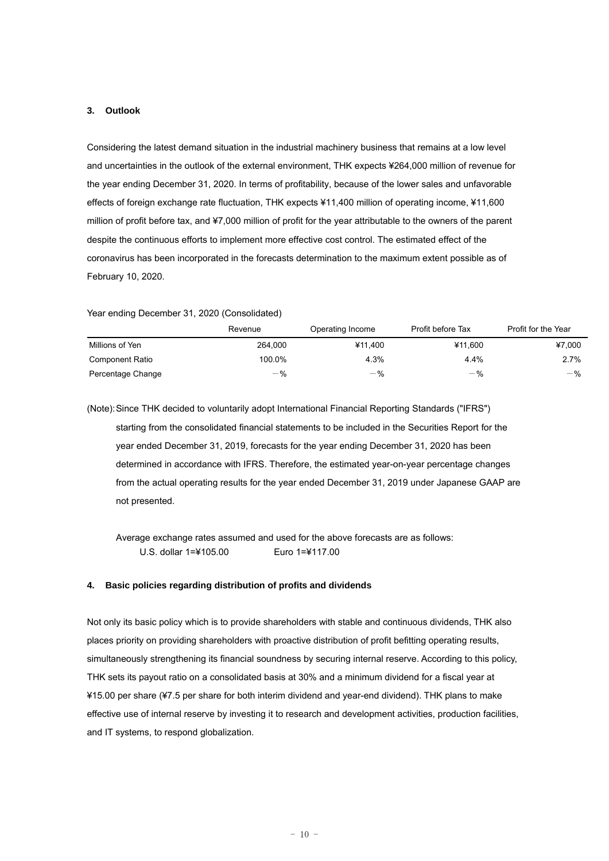#### **3. Outlook**

Considering the latest demand situation in the industrial machinery business that remains at a low level and uncertainties in the outlook of the external environment, THK expects ¥264,000 million of revenue for the year ending December 31, 2020. In terms of profitability, because of the lower sales and unfavorable effects of foreign exchange rate fluctuation, THK expects ¥11,400 million of operating income, ¥11,600 million of profit before tax, and ¥7,000 million of profit for the year attributable to the owners of the parent despite the continuous efforts to implement more effective cost control. The estimated effect of the coronavirus has been incorporated in the forecasts determination to the maximum extent possible as of February 10, 2020.

Year ending December 31, 2020 (Consolidated)

|                        | Revenue | Operating Income | Profit before Tax | Profit for the Year |
|------------------------|---------|------------------|-------------------|---------------------|
| Millions of Yen        | 264.000 | ¥11.400          | ¥11.600           | ¥7.000              |
| <b>Component Ratio</b> | 100.0%  | 4.3%             | 4.4%              | $2.7\%$             |
| Percentage Change      | $-$ %   | $-$ %            | $-$ %             | $-\frac{9}{6}$      |

(Note): Since THK decided to voluntarily adopt International Financial Reporting Standards ("IFRS") starting from the consolidated financial statements to be included in the Securities Report for the year ended December 31, 2019, forecasts for the year ending December 31, 2020 has been determined in accordance with IFRS. Therefore, the estimated year-on-year percentage changes from the actual operating results for the year ended December 31, 2019 under Japanese GAAP are not presented.

 Average exchange rates assumed and used for the above forecasts are as follows: U.S. dollar 1=¥105.00 Euro 1=¥117.00

#### **4. Basic policies regarding distribution of profits and dividends**

Not only its basic policy which is to provide shareholders with stable and continuous dividends, THK also places priority on providing shareholders with proactive distribution of profit befitting operating results, simultaneously strengthening its financial soundness by securing internal reserve. According to this policy, THK sets its payout ratio on a consolidated basis at 30% and a minimum dividend for a fiscal year at ¥15.00 per share (¥7.5 per share for both interim dividend and year-end dividend). THK plans to make effective use of internal reserve by investing it to research and development activities, production facilities, and IT systems, to respond globalization.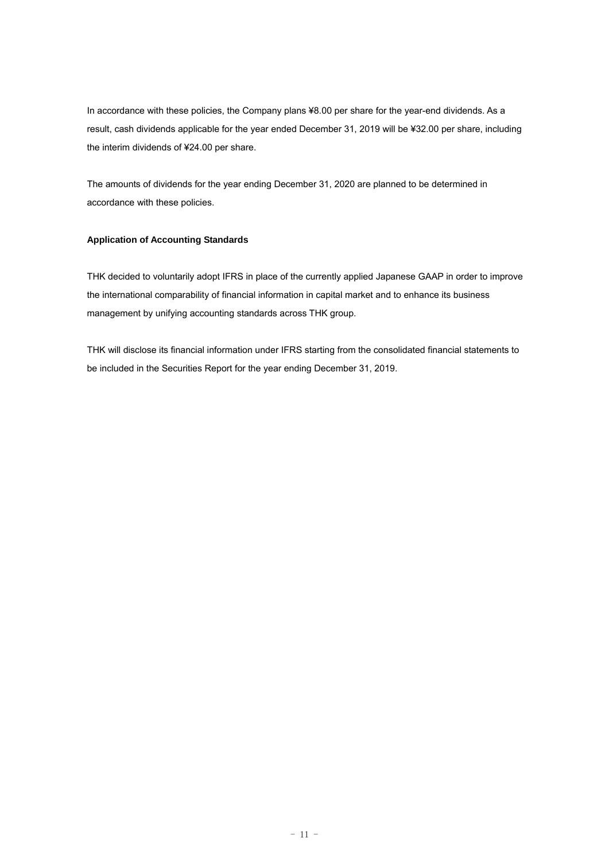In accordance with these policies, the Company plans ¥8.00 per share for the year-end dividends. As a result, cash dividends applicable for the year ended December 31, 2019 will be ¥32.00 per share, including the interim dividends of ¥24.00 per share.

The amounts of dividends for the year ending December 31, 2020 are planned to be determined in accordance with these policies.

## **Application of Accounting Standards**

THK decided to voluntarily adopt IFRS in place of the currently applied Japanese GAAP in order to improve the international comparability of financial information in capital market and to enhance its business management by unifying accounting standards across THK group.

THK will disclose its financial information under IFRS starting from the consolidated financial statements to be included in the Securities Report for the year ending December 31, 2019.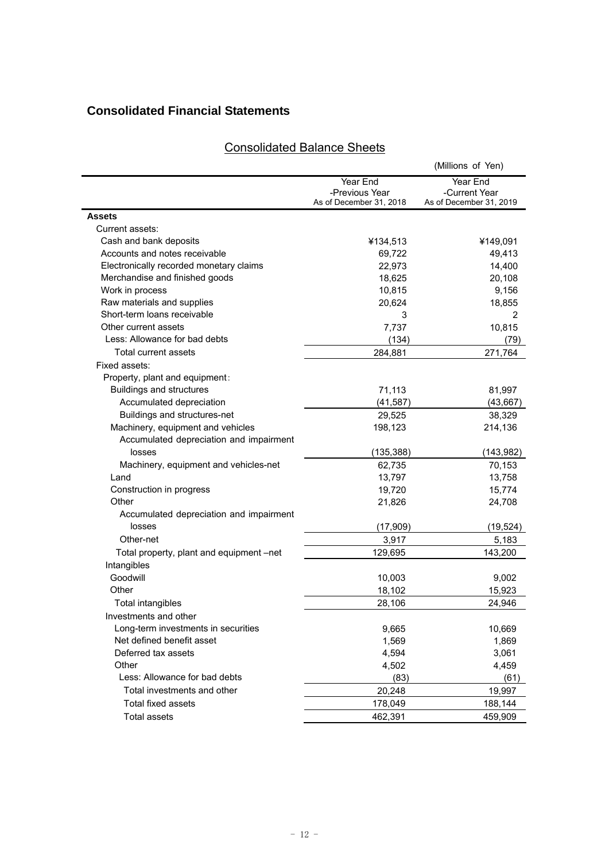## **Consolidated Financial Statements**

|                                          |                                                       | (Millions of Yen)                                    |
|------------------------------------------|-------------------------------------------------------|------------------------------------------------------|
|                                          | Year End<br>-Previous Year<br>As of December 31, 2018 | Year End<br>-Current Year<br>As of December 31, 2019 |
| <b>Assets</b>                            |                                                       |                                                      |
| Current assets:                          |                                                       |                                                      |
| Cash and bank deposits                   | ¥134,513                                              | ¥149,091                                             |
| Accounts and notes receivable            | 69,722                                                | 49,413                                               |
| Electronically recorded monetary claims  | 22,973                                                | 14,400                                               |
| Merchandise and finished goods           | 18,625                                                | 20,108                                               |
| Work in process                          | 10,815                                                | 9,156                                                |
| Raw materials and supplies               | 20,624                                                | 18,855                                               |
| Short-term loans receivable              | 3                                                     | 2                                                    |
| Other current assets                     | 7,737                                                 | 10,815                                               |
| Less: Allowance for bad debts            | (134)                                                 | (79)                                                 |
| Total current assets                     | 284,881                                               | 271,764                                              |
| Fixed assets:                            |                                                       |                                                      |
| Property, plant and equipment:           |                                                       |                                                      |
| <b>Buildings and structures</b>          | 71,113                                                | 81,997                                               |
| Accumulated depreciation                 | (41, 587)                                             | (43, 667)                                            |
| Buildings and structures-net             | 29,525                                                | 38,329                                               |
| Machinery, equipment and vehicles        | 198,123                                               | 214,136                                              |
| Accumulated depreciation and impairment  |                                                       |                                                      |
| losses                                   | (135,388)                                             | (143, 982)                                           |
| Machinery, equipment and vehicles-net    | 62,735                                                | 70,153                                               |
| Land                                     | 13,797                                                | 13,758                                               |
| Construction in progress                 | 19,720                                                | 15,774                                               |
| Other                                    | 21,826                                                | 24,708                                               |
| Accumulated depreciation and impairment  |                                                       |                                                      |
| losses                                   | (17, 909)                                             | (19, 524)                                            |
| Other-net                                | 3,917                                                 | 5,183                                                |
| Total property, plant and equipment -net | 129,695                                               | 143,200                                              |
| Intangibles                              |                                                       |                                                      |
| Goodwill                                 | 10,003                                                | 9,002                                                |
| Other                                    | 18,102                                                | 15,923                                               |
| <b>Total intangibles</b>                 | 28,106                                                | 24,946                                               |
| Investments and other                    |                                                       |                                                      |
| Long-term investments in securities      | 9,665                                                 | 10,669                                               |
| Net defined benefit asset                | 1,569                                                 | 1,869                                                |
| Deferred tax assets                      | 4,594                                                 | 3,061                                                |
| Other                                    | 4,502                                                 | 4,459                                                |
| Less: Allowance for bad debts            | (83)                                                  | (61)                                                 |
| Total investments and other              | 20,248                                                | 19,997                                               |
| Total fixed assets                       | 178,049                                               | 188,144                                              |
| <b>Total assets</b>                      | 462,391                                               | 459,909                                              |
|                                          |                                                       |                                                      |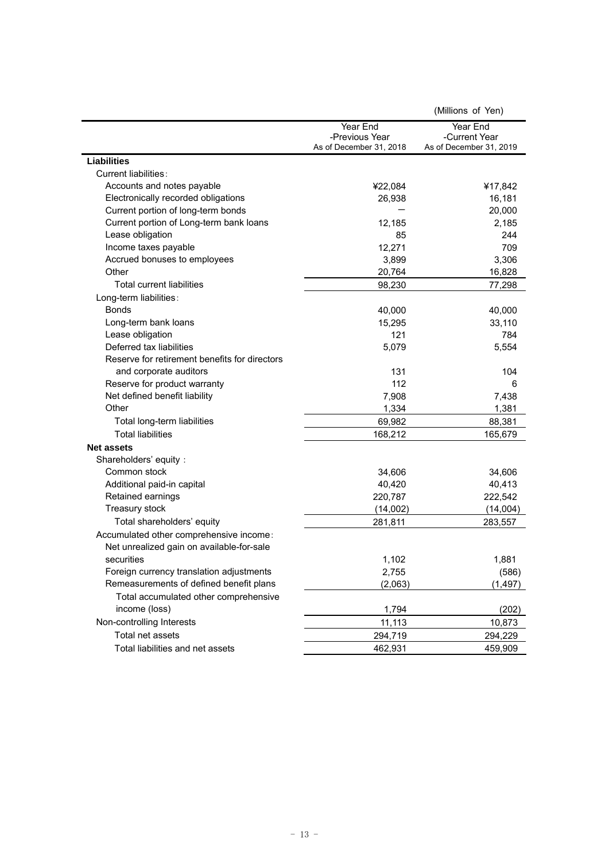|                                               |                         | (Millions of Yen)       |
|-----------------------------------------------|-------------------------|-------------------------|
|                                               | Year End                | Year End                |
|                                               | -Previous Year          | -Current Year           |
|                                               | As of December 31, 2018 | As of December 31, 2019 |
| <b>Liabilities</b>                            |                         |                         |
| Current liabilities:                          |                         |                         |
| Accounts and notes payable                    | ¥22,084                 | ¥17,842                 |
| Electronically recorded obligations           | 26,938                  | 16,181                  |
| Current portion of long-term bonds            |                         | 20,000                  |
| Current portion of Long-term bank loans       | 12,185                  | 2,185                   |
| Lease obligation                              | 85                      | 244                     |
| Income taxes payable                          | 12,271                  | 709                     |
| Accrued bonuses to employees                  | 3,899                   | 3,306                   |
| Other                                         | 20,764                  | 16,828                  |
| Total current liabilities                     | 98,230                  | 77,298                  |
| Long-term liabilities:                        |                         |                         |
| <b>Bonds</b>                                  | 40,000                  | 40,000                  |
| Long-term bank loans                          | 15,295                  | 33,110                  |
| Lease obligation                              | 121                     | 784                     |
| Deferred tax liabilities                      | 5,079                   | 5,554                   |
| Reserve for retirement benefits for directors |                         |                         |
| and corporate auditors                        | 131                     | 104                     |
| Reserve for product warranty                  | 112                     | 6                       |
| Net defined benefit liability                 | 7,908                   | 7,438                   |
| Other                                         | 1,334                   | 1,381                   |
| Total long-term liabilities                   | 69,982                  | 88,381                  |
| <b>Total liabilities</b>                      | 168,212                 | 165,679                 |
| <b>Net assets</b>                             |                         |                         |
| Shareholders' equity:                         |                         |                         |
| Common stock                                  | 34,606                  | 34,606                  |
| Additional paid-in capital                    | 40,420                  | 40,413                  |
| Retained earnings                             | 220,787                 | 222,542                 |
| Treasury stock                                | (14,002)                | (14,004)                |
| Total shareholders' equity                    | 281,811                 | 283,557                 |
| Accumulated other comprehensive income:       |                         |                         |
| Net unrealized gain on available-for-sale     |                         |                         |
| securities                                    | 1,102                   | 1,881                   |
| Foreign currency translation adjustments      | 2,755                   | (586)                   |
| Remeasurements of defined benefit plans       | (2,063)                 | (1, 497)                |
| Total accumulated other comprehensive         |                         |                         |
| income (loss)                                 | 1,794                   | (202)                   |
| Non-controlling Interests                     | 11,113                  | 10,873                  |
| Total net assets                              | 294,719                 | 294,229                 |
| Total liabilities and net assets              | 462,931                 | 459,909                 |
|                                               |                         |                         |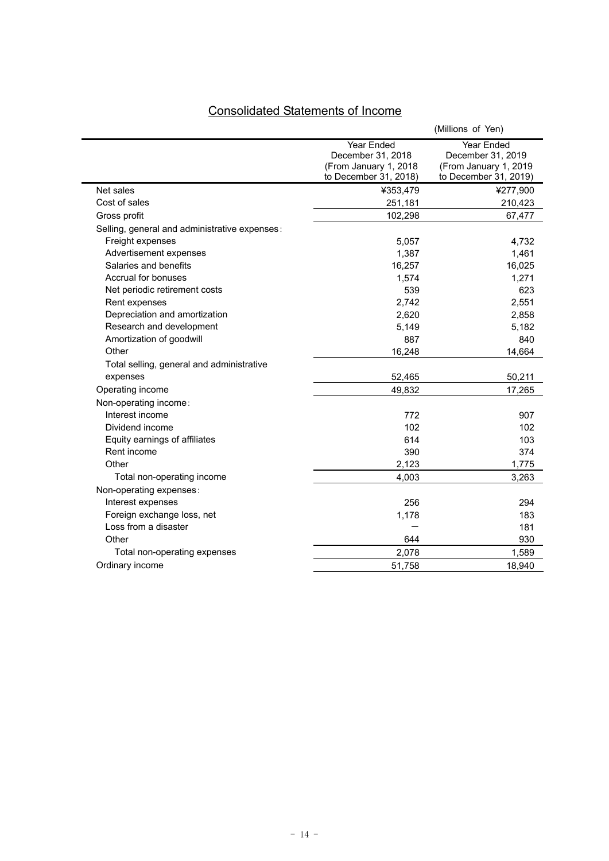# Consolidated Statements of Income

|                                               |                                                                                   | (Millions of Yen)                                                                 |
|-----------------------------------------------|-----------------------------------------------------------------------------------|-----------------------------------------------------------------------------------|
|                                               | Year Ended<br>December 31, 2018<br>(From January 1, 2018<br>to December 31, 2018) | Year Ended<br>December 31, 2019<br>(From January 1, 2019<br>to December 31, 2019) |
| Net sales                                     | ¥353,479                                                                          | ¥277,900                                                                          |
| Cost of sales                                 | 251,181                                                                           | 210,423                                                                           |
| Gross profit                                  | 102,298                                                                           | 67,477                                                                            |
| Selling, general and administrative expenses: |                                                                                   |                                                                                   |
| Freight expenses                              | 5,057                                                                             | 4,732                                                                             |
| Advertisement expenses                        | 1,387                                                                             | 1,461                                                                             |
| Salaries and benefits                         | 16,257                                                                            | 16,025                                                                            |
| Accrual for bonuses                           | 1,574                                                                             | 1,271                                                                             |
| Net periodic retirement costs                 | 539                                                                               | 623                                                                               |
| Rent expenses                                 | 2,742                                                                             | 2,551                                                                             |
| Depreciation and amortization                 | 2,620                                                                             | 2,858                                                                             |
| Research and development                      | 5,149                                                                             | 5,182                                                                             |
| Amortization of goodwill                      | 887                                                                               | 840                                                                               |
| Other                                         | 16,248                                                                            | 14,664                                                                            |
| Total selling, general and administrative     |                                                                                   |                                                                                   |
| expenses                                      | 52,465                                                                            | 50,211                                                                            |
| Operating income                              | 49,832                                                                            | 17,265                                                                            |
| Non-operating income:                         |                                                                                   |                                                                                   |
| Interest income                               | 772                                                                               | 907                                                                               |
| Dividend income                               | 102                                                                               | 102                                                                               |
| Equity earnings of affiliates                 | 614                                                                               | 103                                                                               |
| Rent income                                   | 390                                                                               | 374                                                                               |
| Other                                         | 2,123                                                                             | 1,775                                                                             |
| Total non-operating income                    | 4,003                                                                             | 3,263                                                                             |
| Non-operating expenses:                       |                                                                                   |                                                                                   |
| Interest expenses                             | 256                                                                               | 294                                                                               |
| Foreign exchange loss, net                    | 1,178                                                                             | 183                                                                               |
| Loss from a disaster                          |                                                                                   | 181                                                                               |
| Other                                         | 644                                                                               | 930                                                                               |
| Total non-operating expenses                  | 2,078                                                                             | 1,589                                                                             |
| Ordinary income                               | 51,758                                                                            | 18,940                                                                            |
|                                               |                                                                                   |                                                                                   |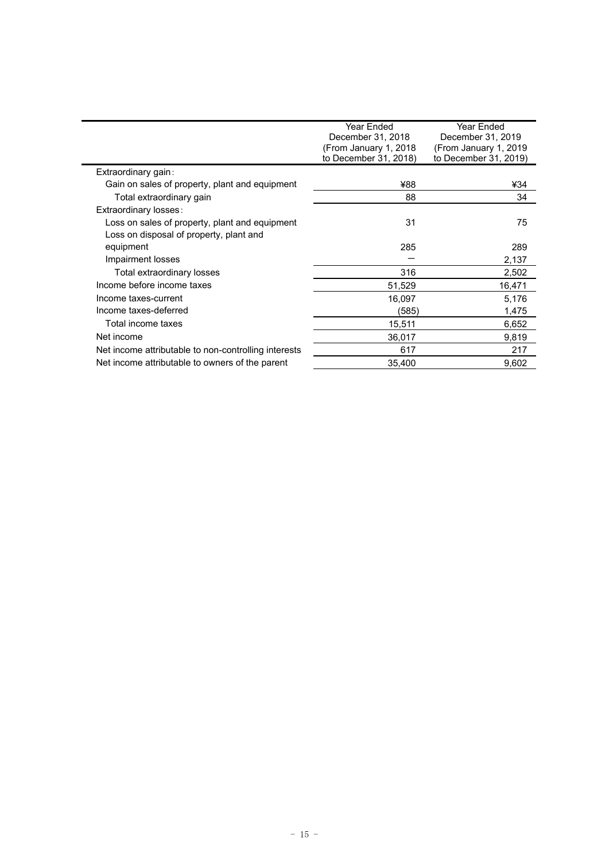|                                                      | Year Ended<br>December 31, 2018 | Year Ended<br>December 31, 2019 |
|------------------------------------------------------|---------------------------------|---------------------------------|
|                                                      | (From January 1, 2018)          | (From January 1, 2019)          |
|                                                      | to December 31, 2018)           | to December 31, 2019)           |
| Extraordinary gain:                                  |                                 |                                 |
| Gain on sales of property, plant and equipment       | ¥88                             | ¥34                             |
| Total extraordinary gain                             | 88                              | 34                              |
| Extraordinary losses:                                |                                 |                                 |
| Loss on sales of property, plant and equipment       | 31                              | 75                              |
| Loss on disposal of property, plant and              |                                 |                                 |
| equipment                                            | 285                             | 289                             |
| Impairment losses                                    |                                 | 2,137                           |
| Total extraordinary losses                           | 316                             | 2,502                           |
| Income before income taxes                           | 51,529                          | 16,471                          |
| Income taxes-current                                 | 16,097                          | 5,176                           |
| Income taxes-deferred                                | (585)                           | 1,475                           |
| Total income taxes                                   | 15,511                          | 6,652                           |
| Net income                                           | 36,017                          | 9,819                           |
| Net income attributable to non-controlling interests | 617                             | 217                             |
| Net income attributable to owners of the parent      | 35,400                          | 9,602                           |
|                                                      |                                 |                                 |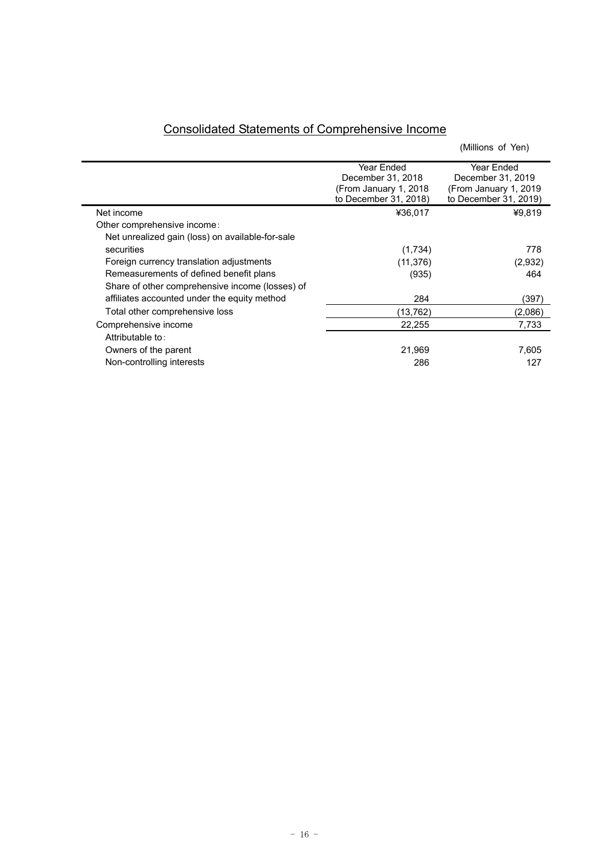| <b>Consolidated Statements of Comprehensive Income</b> |
|--------------------------------------------------------|
|--------------------------------------------------------|

Ē.

|                                                  |                        | (Millions of Yen)      |
|--------------------------------------------------|------------------------|------------------------|
|                                                  | Year Ended             | Year Ended             |
|                                                  | December 31, 2018      | December 31, 2019      |
|                                                  | (From January 1, 2018) | (From January 1, 2019) |
|                                                  | to December 31, 2018)  | to December 31, 2019)  |
| Net income                                       | ¥36,017                | ¥9,819                 |
| Other comprehensive income:                      |                        |                        |
| Net unrealized gain (loss) on available-for-sale |                        |                        |
| securities                                       | (1,734)                | 778                    |
| Foreign currency translation adjustments         | (11, 376)              | (2,932)                |
| Remeasurements of defined benefit plans          | (935)                  | 464                    |
| Share of other comprehensive income (losses) of  |                        |                        |
| affiliates accounted under the equity method     | 284                    | (397)                  |
| Total other comprehensive loss                   | (13, 762)              | (2,086)                |
| Comprehensive income                             | 22,255                 | 7,733                  |
| Attributable to:                                 |                        |                        |
| Owners of the parent                             | 21,969                 | 7,605                  |
| Non-controlling interests                        | 286                    | 127                    |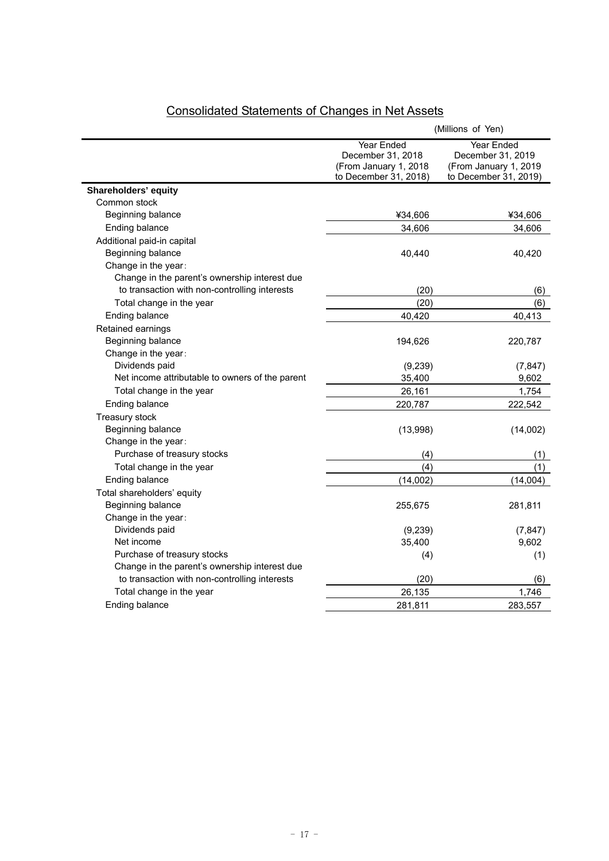|                                                 | (Millions of Yen)                                                                        |                                                                                   |  |
|-------------------------------------------------|------------------------------------------------------------------------------------------|-----------------------------------------------------------------------------------|--|
|                                                 | <b>Year Ended</b><br>December 31, 2018<br>(From January 1, 2018<br>to December 31, 2018) | Year Ended<br>December 31, 2019<br>(From January 1, 2019<br>to December 31, 2019) |  |
| Shareholders' equity                            |                                                                                          |                                                                                   |  |
| Common stock                                    |                                                                                          |                                                                                   |  |
| Beginning balance                               | ¥34,606                                                                                  | ¥34,606                                                                           |  |
| Ending balance                                  | 34,606                                                                                   | 34,606                                                                            |  |
| Additional paid-in capital                      |                                                                                          |                                                                                   |  |
| Beginning balance                               | 40,440                                                                                   | 40,420                                                                            |  |
| Change in the year:                             |                                                                                          |                                                                                   |  |
| Change in the parent's ownership interest due   |                                                                                          |                                                                                   |  |
| to transaction with non-controlling interests   | (20)                                                                                     | (6)                                                                               |  |
| Total change in the year                        | (20)                                                                                     | (6)                                                                               |  |
| Ending balance                                  | 40,420                                                                                   | 40,413                                                                            |  |
| Retained earnings                               |                                                                                          |                                                                                   |  |
| Beginning balance                               | 194,626                                                                                  | 220,787                                                                           |  |
| Change in the year:                             |                                                                                          |                                                                                   |  |
| Dividends paid                                  | (9,239)                                                                                  | (7, 847)                                                                          |  |
| Net income attributable to owners of the parent | 35,400                                                                                   | 9,602                                                                             |  |
| Total change in the year                        | 26,161                                                                                   | 1,754                                                                             |  |
| Ending balance                                  | 220,787                                                                                  | 222,542                                                                           |  |
| Treasury stock                                  |                                                                                          |                                                                                   |  |
| Beginning balance                               | (13,998)                                                                                 | (14,002)                                                                          |  |
| Change in the year:                             |                                                                                          |                                                                                   |  |
| Purchase of treasury stocks                     | (4)                                                                                      | (1)                                                                               |  |
| Total change in the year                        | (4)                                                                                      | (1)                                                                               |  |
| Ending balance                                  | (14,002)                                                                                 | (14,004)                                                                          |  |
| Total shareholders' equity                      |                                                                                          |                                                                                   |  |
| Beginning balance                               | 255,675                                                                                  | 281,811                                                                           |  |
| Change in the year:                             |                                                                                          |                                                                                   |  |
| Dividends paid                                  | (9, 239)                                                                                 | (7, 847)                                                                          |  |
| Net income                                      | 35,400                                                                                   | 9,602                                                                             |  |
| Purchase of treasury stocks                     | (4)                                                                                      | (1)                                                                               |  |
| Change in the parent's ownership interest due   |                                                                                          |                                                                                   |  |
| to transaction with non-controlling interests   | (20)                                                                                     | (6)                                                                               |  |
| Total change in the year                        | 26,135                                                                                   | 1,746                                                                             |  |
| Ending balance                                  | 281,811                                                                                  | 283,557                                                                           |  |

# Consolidated Statements of Changes in Net Assets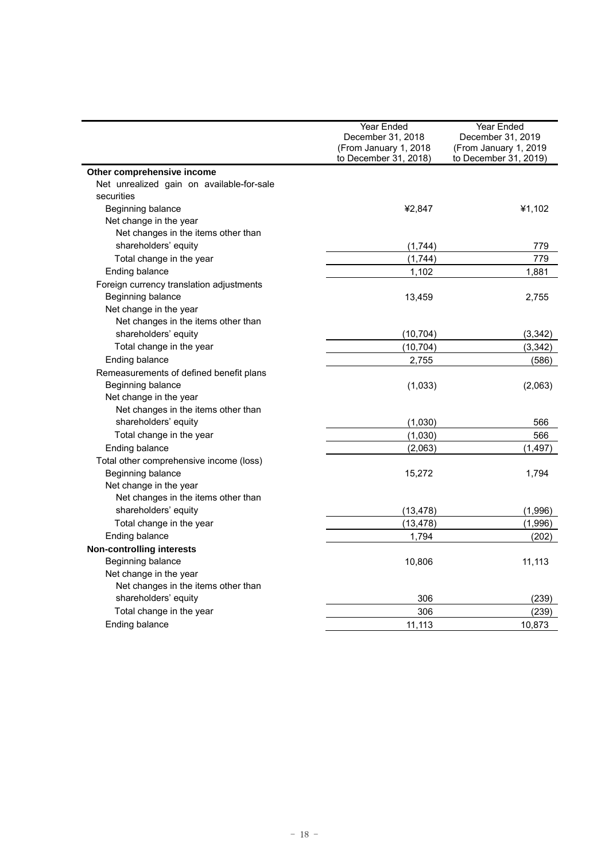|                                           | Year Ended            | Year Ended            |
|-------------------------------------------|-----------------------|-----------------------|
|                                           | December 31, 2018     | December 31, 2019     |
|                                           | (From January 1, 2018 | (From January 1, 2019 |
|                                           | to December 31, 2018) | to December 31, 2019) |
| Other comprehensive income                |                       |                       |
| Net unrealized gain on available-for-sale |                       |                       |
| securities                                |                       |                       |
| Beginning balance                         | ¥2,847                | ¥1,102                |
| Net change in the year                    |                       |                       |
| Net changes in the items other than       |                       |                       |
| shareholders' equity                      | (1,744)               | 779                   |
| Total change in the year                  | (1,744)               | 779                   |
| Ending balance                            | 1,102                 | 1,881                 |
| Foreign currency translation adjustments  |                       |                       |
| Beginning balance                         | 13,459                | 2,755                 |
| Net change in the year                    |                       |                       |
| Net changes in the items other than       |                       |                       |
| shareholders' equity                      | (10, 704)             | (3,342)               |
| Total change in the year                  | (10, 704)             | (3, 342)              |
| Ending balance                            | 2,755                 | (586)                 |
| Remeasurements of defined benefit plans   |                       |                       |
| Beginning balance                         | (1,033)               | (2,063)               |
| Net change in the year                    |                       |                       |
| Net changes in the items other than       |                       |                       |
| shareholders' equity                      | (1,030)               | 566                   |
| Total change in the year                  | (1,030)               | 566                   |
| Ending balance                            | (2,063)               | (1, 497)              |
| Total other comprehensive income (loss)   |                       |                       |
| Beginning balance                         | 15,272                | 1,794                 |
| Net change in the year                    |                       |                       |
| Net changes in the items other than       |                       |                       |
| shareholders' equity                      | (13, 478)             | (1,996)               |
| Total change in the year                  | (13, 478)             | (1,996)               |
| Ending balance                            | 1,794                 | (202)                 |
| <b>Non-controlling interests</b>          |                       |                       |
| Beginning balance                         | 10,806                | 11,113                |
| Net change in the year                    |                       |                       |
| Net changes in the items other than       |                       |                       |
| shareholders' equity                      | 306                   | (239)                 |
| Total change in the year                  | 306                   | (239)                 |
| Ending balance                            | 11,113                | 10,873                |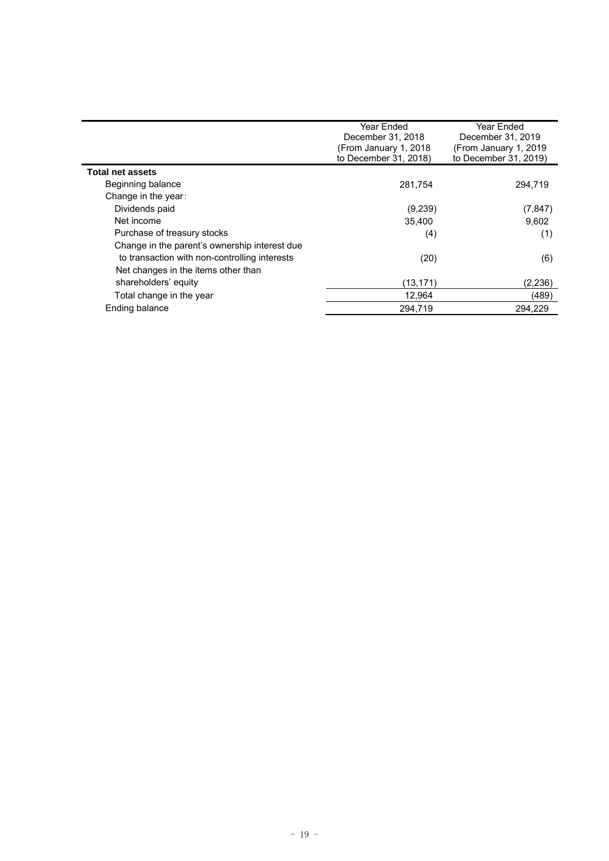|                                               | Year Ended<br>December 31, 2018<br>(From January 1, 2018<br>to December 31, 2018) | Year Ended<br>December 31, 2019<br>(From January 1, 2019)<br>to December 31, 2019) |
|-----------------------------------------------|-----------------------------------------------------------------------------------|------------------------------------------------------------------------------------|
| <b>Total net assets</b>                       |                                                                                   |                                                                                    |
| Beginning balance                             | 281,754                                                                           | 294.719                                                                            |
| Change in the year:                           |                                                                                   |                                                                                    |
| Dividends paid                                | (9,239)                                                                           | (7, 847)                                                                           |
| Net income                                    | 35.400                                                                            | 9.602                                                                              |
| Purchase of treasury stocks                   | (4)                                                                               | (1)                                                                                |
| Change in the parent's ownership interest due |                                                                                   |                                                                                    |
| to transaction with non-controlling interests | (20)                                                                              | (6)                                                                                |
| Net changes in the items other than           |                                                                                   |                                                                                    |
| shareholders' equity                          | (13,171)                                                                          | (2,236)                                                                            |
| Total change in the year                      | 12,964                                                                            | (489)                                                                              |
| Ending balance                                | 294.719                                                                           | 294.229                                                                            |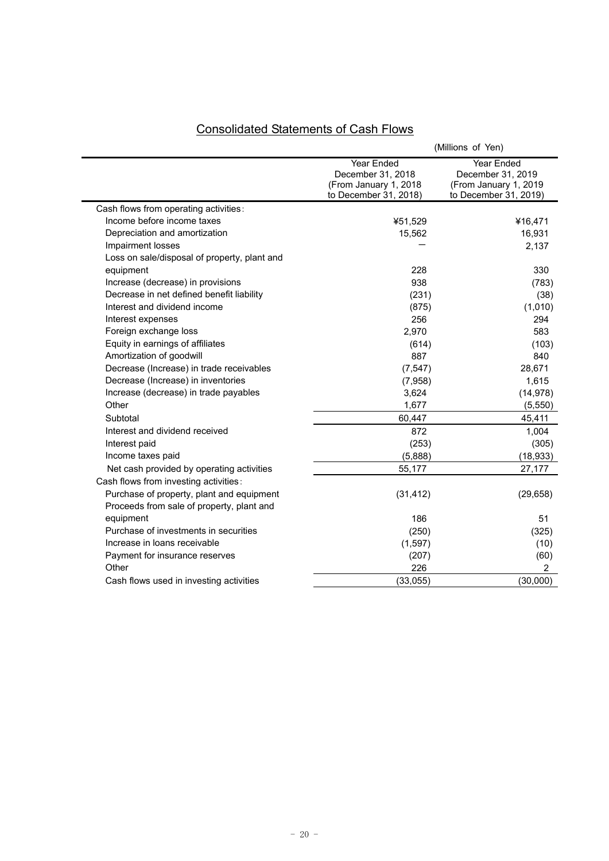| <b>Consolidated Statements of Cash Flows</b> |  |  |
|----------------------------------------------|--|--|
|                                              |  |  |

|                                              | (Millions of Yen)                              |                                                |  |  |  |
|----------------------------------------------|------------------------------------------------|------------------------------------------------|--|--|--|
|                                              | Year Ended<br>December 31, 2018                | Year Ended<br>December 31, 2019                |  |  |  |
|                                              | (From January 1, 2018<br>to December 31, 2018) | (From January 1, 2019<br>to December 31, 2019) |  |  |  |
| Cash flows from operating activities:        |                                                |                                                |  |  |  |
| Income before income taxes                   | ¥51,529                                        | ¥16,471                                        |  |  |  |
| Depreciation and amortization                | 15,562                                         | 16,931                                         |  |  |  |
| Impairment losses                            |                                                | 2,137                                          |  |  |  |
| Loss on sale/disposal of property, plant and |                                                |                                                |  |  |  |
| equipment                                    | 228                                            | 330                                            |  |  |  |
| Increase (decrease) in provisions            | 938                                            | (783)                                          |  |  |  |
| Decrease in net defined benefit liability    | (231)                                          | (38)                                           |  |  |  |
| Interest and dividend income                 | (875)                                          | (1,010)                                        |  |  |  |
| Interest expenses                            | 256                                            | 294                                            |  |  |  |
| Foreign exchange loss                        | 2,970                                          | 583                                            |  |  |  |
| Equity in earnings of affiliates             | (614)                                          | (103)                                          |  |  |  |
| Amortization of goodwill                     | 887                                            | 840                                            |  |  |  |
| Decrease (Increase) in trade receivables     | (7, 547)                                       | 28,671                                         |  |  |  |
| Decrease (Increase) in inventories           | (7,958)                                        | 1,615                                          |  |  |  |
| Increase (decrease) in trade payables        | 3,624                                          | (14, 978)                                      |  |  |  |
| Other                                        | 1,677                                          | (5, 550)                                       |  |  |  |
| Subtotal                                     | 60,447                                         | 45,411                                         |  |  |  |
| Interest and dividend received               | 872                                            | 1,004                                          |  |  |  |
| Interest paid                                | (253)                                          | (305)                                          |  |  |  |
| Income taxes paid                            | (5,888)                                        | (18, 933)                                      |  |  |  |
| Net cash provided by operating activities    | 55,177                                         | 27,177                                         |  |  |  |
| Cash flows from investing activities:        |                                                |                                                |  |  |  |
| Purchase of property, plant and equipment    | (31, 412)                                      | (29, 658)                                      |  |  |  |
| Proceeds from sale of property, plant and    |                                                |                                                |  |  |  |
| equipment                                    | 186                                            | 51                                             |  |  |  |
| Purchase of investments in securities        | (250)                                          | (325)                                          |  |  |  |
| Increase in loans receivable                 | (1, 597)                                       | (10)                                           |  |  |  |
| Payment for insurance reserves               | (207)                                          | (60)                                           |  |  |  |
| Other                                        | 226                                            | $\overline{2}$                                 |  |  |  |
| Cash flows used in investing activities      | (33,055)                                       | (30,000)                                       |  |  |  |
|                                              |                                                |                                                |  |  |  |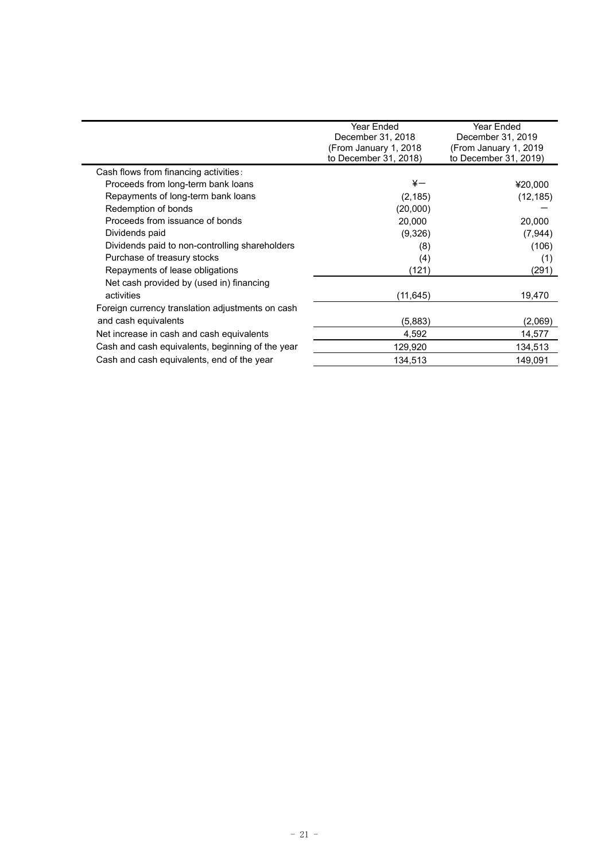|                                                  | Year Ended<br>December 31, 2018<br>(From January 1, 2018)<br>to December 31, 2018) | Year Ended<br>December 31, 2019<br>(From January 1, 2019)<br>to December 31, 2019) |
|--------------------------------------------------|------------------------------------------------------------------------------------|------------------------------------------------------------------------------------|
| Cash flows from financing activities:            |                                                                                    |                                                                                    |
| Proceeds from long-term bank loans               | ¥—                                                                                 | ¥20,000                                                                            |
| Repayments of long-term bank loans               | (2, 185)                                                                           | (12, 185)                                                                          |
| Redemption of bonds                              | (20,000)                                                                           |                                                                                    |
| Proceeds from issuance of bonds                  | 20,000                                                                             | 20,000                                                                             |
| Dividends paid                                   | (9,326)                                                                            | (7,944)                                                                            |
| Dividends paid to non-controlling shareholders   | (8)                                                                                | (106)                                                                              |
| Purchase of treasury stocks                      | (4)                                                                                | (1)                                                                                |
| Repayments of lease obligations                  | (121)                                                                              | (291)                                                                              |
| Net cash provided by (used in) financing         |                                                                                    |                                                                                    |
| activities                                       | (11, 645)                                                                          | 19,470                                                                             |
| Foreign currency translation adjustments on cash |                                                                                    |                                                                                    |
| and cash equivalents                             | (5,883)                                                                            | (2,069)                                                                            |
| Net increase in cash and cash equivalents        | 4,592                                                                              | 14,577                                                                             |
| Cash and cash equivalents, beginning of the year | 129,920                                                                            | 134,513                                                                            |
| Cash and cash equivalents, end of the year       | 134,513                                                                            | 149,091                                                                            |
|                                                  |                                                                                    |                                                                                    |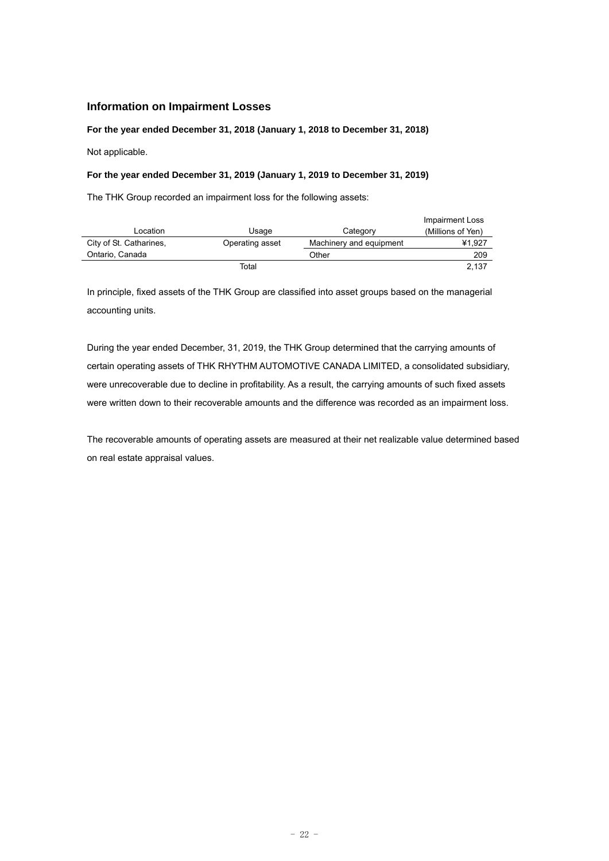## **Information on Impairment Losses**

**For the year ended December 31, 2018 (January 1, 2018 to December 31, 2018)** 

Not applicable.

### **For the year ended December 31, 2019 (January 1, 2019 to December 31, 2019)**

The THK Group recorded an impairment loss for the following assets:

|                         |                 |                         | <b>Impairment Loss</b> |
|-------------------------|-----------------|-------------------------|------------------------|
| Location                | Usage           | Category                | (Millions of Yen)      |
| City of St. Catharines, | Operating asset | Machinery and equipment | ¥1.927                 |
| Ontario, Canada         |                 | Other                   | 209                    |
|                         | Total           |                         | 2.137                  |

In principle, fixed assets of the THK Group are classified into asset groups based on the managerial accounting units.

During the year ended December, 31, 2019, the THK Group determined that the carrying amounts of certain operating assets of THK RHYTHM AUTOMOTIVE CANADA LIMITED, a consolidated subsidiary, were unrecoverable due to decline in profitability. As a result, the carrying amounts of such fixed assets were written down to their recoverable amounts and the difference was recorded as an impairment loss.

The recoverable amounts of operating assets are measured at their net realizable value determined based on real estate appraisal values.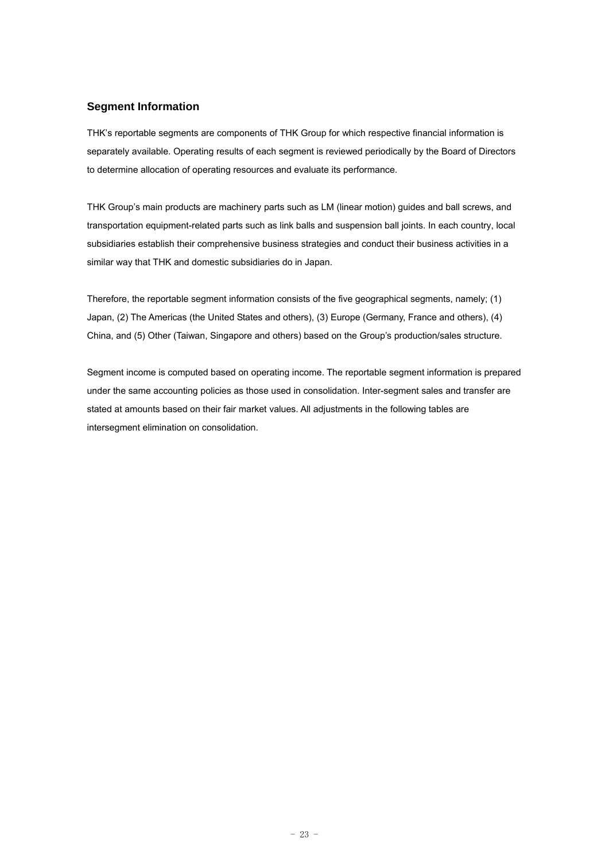## **Segment Information**

THK's reportable segments are components of THK Group for which respective financial information is separately available. Operating results of each segment is reviewed periodically by the Board of Directors to determine allocation of operating resources and evaluate its performance.

THK Group's main products are machinery parts such as LM (linear motion) guides and ball screws, and transportation equipment-related parts such as link balls and suspension ball joints. In each country, local subsidiaries establish their comprehensive business strategies and conduct their business activities in a similar way that THK and domestic subsidiaries do in Japan.

Therefore, the reportable segment information consists of the five geographical segments, namely; (1) Japan, (2) The Americas (the United States and others), (3) Europe (Germany, France and others), (4) China, and (5) Other (Taiwan, Singapore and others) based on the Group's production/sales structure.

Segment income is computed based on operating income. The reportable segment information is prepared under the same accounting policies as those used in consolidation. Inter-segment sales and transfer are stated at amounts based on their fair market values. All adjustments in the following tables are intersegment elimination on consolidation.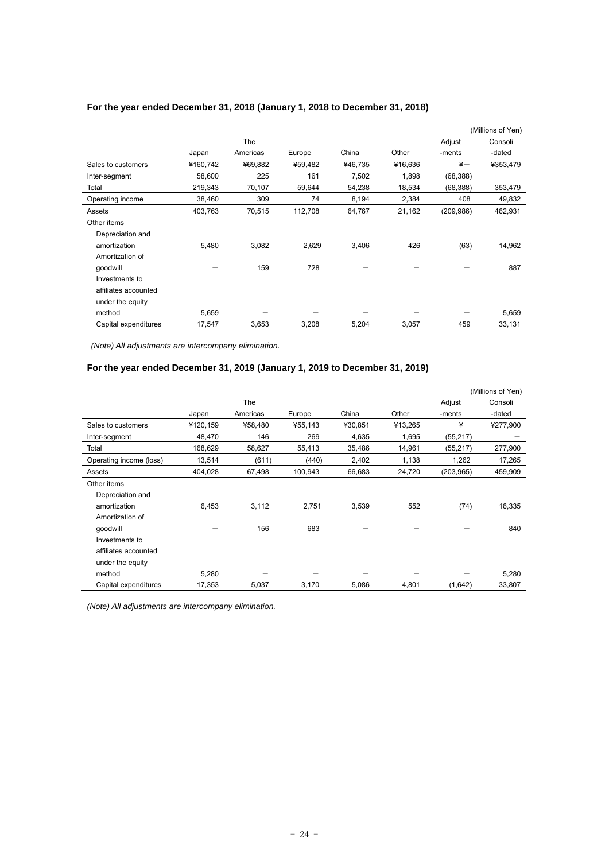|                      |          |            |         |         |         |               | (Millions of Yen) |
|----------------------|----------|------------|---------|---------|---------|---------------|-------------------|
|                      |          | <b>The</b> |         |         |         | Adjust        | Consoli           |
|                      | Japan    | Americas   | Europe  | China   | Other   | -ments        | -dated            |
| Sales to customers   | ¥160,742 | ¥69,882    | ¥59,482 | ¥46,735 | ¥16,636 | $\frac{1}{2}$ | ¥353,479          |
| Inter-segment        | 58,600   | 225        | 161     | 7,502   | 1,898   | (68, 388)     |                   |
| Total                | 219,343  | 70,107     | 59,644  | 54,238  | 18,534  | (68, 388)     | 353,479           |
| Operating income     | 38,460   | 309        | 74      | 8,194   | 2,384   | 408           | 49,832            |
| Assets               | 403,763  | 70,515     | 112,708 | 64,767  | 21,162  | (209, 986)    | 462,931           |
| Other items          |          |            |         |         |         |               |                   |
| Depreciation and     |          |            |         |         |         |               |                   |
| amortization         | 5,480    | 3,082      | 2,629   | 3,406   | 426     | (63)          | 14,962            |
| Amortization of      |          |            |         |         |         |               |                   |
| qoodwill             |          | 159        | 728     |         |         |               | 887               |
| Investments to       |          |            |         |         |         |               |                   |
| affiliates accounted |          |            |         |         |         |               |                   |
| under the equity     |          |            |         |         |         |               |                   |
| method               | 5,659    |            |         |         |         |               | 5,659             |
| Capital expenditures | 17,547   | 3,653      | 3,208   | 5,204   | 3,057   | 459           | 33,131            |

## **For the year ended December 31, 2018 (January 1, 2018 to December 31, 2018)**

 *(Note) All adjustments are intercompany elimination.* 

## **For the year ended December 31, 2019 (January 1, 2019 to December 31, 2019)**

|                         |          |          |         |         |         |               | (Millions of Yen) |
|-------------------------|----------|----------|---------|---------|---------|---------------|-------------------|
|                         |          | The      |         |         |         | Adjust        | Consoli           |
|                         | Japan    | Americas | Europe  | China   | Other   | -ments        | -dated            |
| Sales to customers      | ¥120,159 | ¥58,480  | ¥55,143 | ¥30,851 | ¥13,265 | $\frac{1}{2}$ | ¥277,900          |
| Inter-segment           | 48,470   | 146      | 269     | 4,635   | 1,695   | (55, 217)     |                   |
| Total                   | 168,629  | 58,627   | 55,413  | 35,486  | 14,961  | (55, 217)     | 277,900           |
| Operating income (loss) | 13,514   | (611)    | (440)   | 2,402   | 1,138   | 1,262         | 17,265            |
| Assets                  | 404,028  | 67,498   | 100,943 | 66,683  | 24,720  | (203, 965)    | 459,909           |
| Other items             |          |          |         |         |         |               |                   |
| Depreciation and        |          |          |         |         |         |               |                   |
| amortization            | 6,453    | 3,112    | 2,751   | 3,539   | 552     | (74)          | 16,335            |
| Amortization of         |          |          |         |         |         |               |                   |
| qoodwill                |          | 156      | 683     |         |         |               | 840               |
| Investments to          |          |          |         |         |         |               |                   |
| affiliates accounted    |          |          |         |         |         |               |                   |
| under the equity        |          |          |         |         |         |               |                   |
| method                  | 5,280    |          |         |         |         |               | 5,280             |
| Capital expenditures    | 17,353   | 5,037    | 3,170   | 5,086   | 4,801   | (1,642)       | 33,807            |

*(Note) All adjustments are intercompany elimination.*